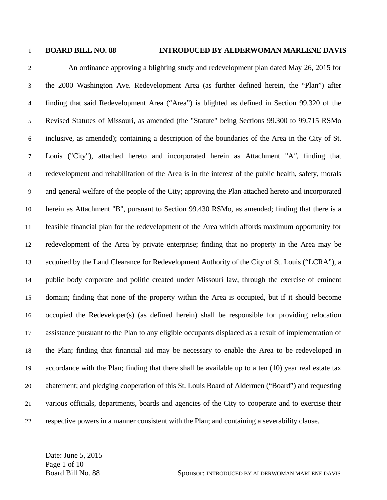## 1 **BOARD BILL NO. 88 INTRODUCED BY ALDERWOMAN MARLENE DAVIS**

2 An ordinance approving a blighting study and redevelopment plan dated May 26, 2015 for 3 the 2000 Washington Ave. Redevelopment Area (as further defined herein, the "Plan") after 4 finding that said Redevelopment Area ("Area") is blighted as defined in Section 99.320 of the 5 Revised Statutes of Missouri, as amended (the "Statute" being Sections 99.300 to 99.715 RSMo 6 inclusive, as amended); containing a description of the boundaries of the Area in the City of St. 7 Louis ("City"), attached hereto and incorporated herein as Attachment "A*",* finding that 8 redevelopment and rehabilitation of the Area is in the interest of the public health, safety, morals 9 and general welfare of the people of the City; approving the Plan attached hereto and incorporated 10 herein as Attachment "B", pursuant to Section 99.430 RSMo, as amended; finding that there is a 11 feasible financial plan for the redevelopment of the Area which affords maximum opportunity for 12 redevelopment of the Area by private enterprise; finding that no property in the Area may be 13 acquired by the Land Clearance for Redevelopment Authority of the City of St. Louis ("LCRA"), a 14 public body corporate and politic created under Missouri law, through the exercise of eminent 15 domain; finding that none of the property within the Area is occupied, but if it should become 16 occupied the Redeveloper(s) (as defined herein) shall be responsible for providing relocation 17 assistance pursuant to the Plan to any eligible occupants displaced as a result of implementation of 18 the Plan; finding that financial aid may be necessary to enable the Area to be redeveloped in 19 accordance with the Plan; finding that there shall be available up to a ten (10) year real estate tax 20 abatement; and pledging cooperation of this St. Louis Board of Aldermen ("Board") and requesting 21 various officials, departments, boards and agencies of the City to cooperate and to exercise their 22 respective powers in a manner consistent with the Plan; and containing a severability clause.

Date: June 5, 2015 Page 1 of 10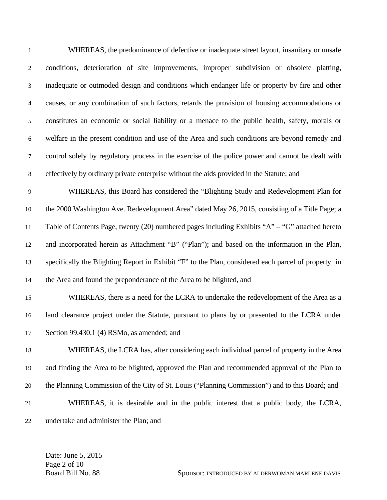| 1                | WHEREAS, the predominance of defective or inadequate street layout, insanitary or unsafe            |
|------------------|-----------------------------------------------------------------------------------------------------|
| $\overline{2}$   | conditions, deterioration of site improvements, improper subdivision or obsolete platting,          |
| 3                | inadequate or outmoded design and conditions which endanger life or property by fire and other      |
| $\overline{4}$   | causes, or any combination of such factors, retards the provision of housing accommodations or      |
| 5                | constitutes an economic or social liability or a menace to the public health, safety, morals or     |
| $\boldsymbol{6}$ | welfare in the present condition and use of the Area and such conditions are beyond remedy and      |
| 7                | control solely by regulatory process in the exercise of the police power and cannot be dealt with   |
| $\,8\,$          | effectively by ordinary private enterprise without the aids provided in the Statute; and            |
| 9                | WHEREAS, this Board has considered the "Blighting Study and Redevelopment Plan for                  |
| 10               | the 2000 Washington Ave. Redevelopment Area" dated May 26, 2015, consisting of a Title Page; a      |
| 11               | Table of Contents Page, twenty (20) numbered pages including Exhibits "A" – "G" attached hereto     |
| 12               | and incorporated herein as Attachment "B" ("Plan"); and based on the information in the Plan,       |
| 13               | specifically the Blighting Report in Exhibit "F" to the Plan, considered each parcel of property in |
| 14               | the Area and found the preponderance of the Area to be blighted, and                                |
| 15               | WHEREAS, there is a need for the LCRA to undertake the redevelopment of the Area as a               |
| 16               | land clearance project under the Statute, pursuant to plans by or presented to the LCRA under       |
| $17\,$           | Section 99.430.1 (4) RSMo, as amended; and                                                          |
| 18               | WHEREAS, the LCRA has, after considering each individual parcel of property in the Area             |
| 19               | and finding the Area to be blighted, approved the Plan and recommended approval of the Plan to      |
| 20               | the Planning Commission of the City of St. Louis ("Planning Commission") and to this Board; and     |
| 21               | WHEREAS, it is desirable and in the public interest that a public body, the LCRA,                   |
| 22               | undertake and administer the Plan; and                                                              |

Date: June 5, 2015 Page 2 of 10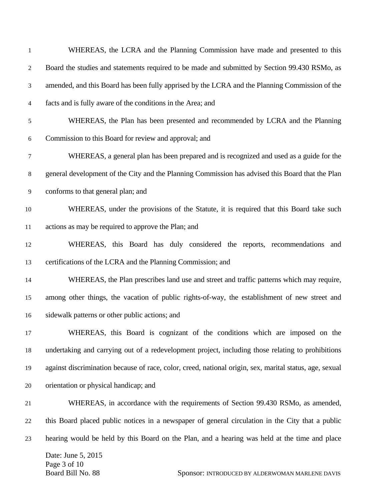| $\mathbf{1}$   | WHEREAS, the LCRA and the Planning Commission have made and presented to this                              |
|----------------|------------------------------------------------------------------------------------------------------------|
| $\overline{2}$ | Board the studies and statements required to be made and submitted by Section 99.430 RSMo, as              |
| 3              | amended, and this Board has been fully apprised by the LCRA and the Planning Commission of the             |
| 4              | facts and is fully aware of the conditions in the Area; and                                                |
| 5              | WHEREAS, the Plan has been presented and recommended by LCRA and the Planning                              |
| 6              | Commission to this Board for review and approval; and                                                      |
| 7              | WHEREAS, a general plan has been prepared and is recognized and used as a guide for the                    |
| $\,8\,$        | general development of the City and the Planning Commission has advised this Board that the Plan           |
| 9              | conforms to that general plan; and                                                                         |
| 10             | WHEREAS, under the provisions of the Statute, it is required that this Board take such                     |
| 11             | actions as may be required to approve the Plan; and                                                        |
| 12             | WHEREAS, this Board has duly considered the reports, recommendations and                                   |
| 13             | certifications of the LCRA and the Planning Commission; and                                                |
| 14             | WHEREAS, the Plan prescribes land use and street and traffic patterns which may require,                   |
| 15             | among other things, the vacation of public rights-of-way, the establishment of new street and              |
| 16             | sidewalk patterns or other public actions; and                                                             |
| 17             | WHEREAS, this Board is cognizant of the conditions which are imposed on the                                |
| 18             | undertaking and carrying out of a redevelopment project, including those relating to prohibitions          |
| 19             | against discrimination because of race, color, creed, national origin, sex, marital status, age, sexual    |
| 20             | orientation or physical handicap; and                                                                      |
| 21             | WHEREAS, in accordance with the requirements of Section 99.430 RSMo, as amended,                           |
| 22             | this Board placed public notices in a newspaper of general circulation in the City that a public           |
| 23             | hearing would be held by this Board on the Plan, and a hearing was held at the time and place              |
|                | Date: June 5, 2015<br>Page 3 of 10<br>Board Bill No. 88<br>Sponsor: INTRODUCED BY ALDERWOMAN MARLENE DAVIS |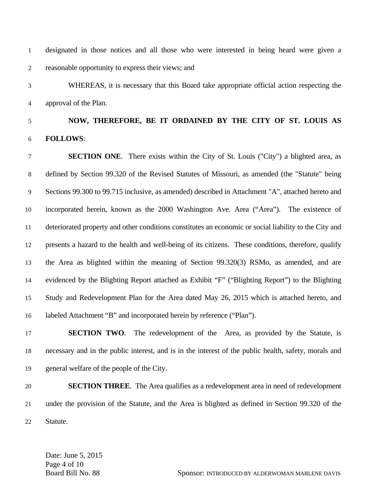1 designated in those notices and all those who were interested in being heard were given a 2 reasonable opportunity to express their views; and

3 WHEREAS, it is necessary that this Board take appropriate official action respecting the 4 approval of the Plan.

## 5 **NOW, THEREFORE, BE IT ORDAINED BY THE CITY OF ST. LOUIS AS**  6 **FOLLOWS**:

7 **SECTION ONE**. There exists within the City of St. Louis ("City") a blighted area, as 8 defined by Section 99.320 of the Revised Statutes of Missouri, as amended (the "Statute" being 9 Sections 99.300 to 99.715 inclusive, as amended) described in Attachment "A", attached hereto and 10 incorporated herein, known as the 2000 Washington Ave. Area ("Area"). The existence of 11 deteriorated property and other conditions constitutes an economic or social liability to the City and 12 presents a hazard to the health and well-being of its citizens. These conditions, therefore, qualify 13 the Area as blighted within the meaning of Section 99.320(3) RSMo, as amended, and are 14 evidenced by the Blighting Report attached as Exhibit "F" ("Blighting Report") to the Blighting 15 Study and Redevelopment Plan for the Area dated May 26, 2015 which is attached hereto, and 16 labeled Attachment "B" and incorporated herein by reference ("Plan").

17 **SECTION TWO**. The redevelopment of the Area, as provided by the Statute, is 18 necessary and in the public interest, and is in the interest of the public health, safety, morals and 19 general welfare of the people of the City.

20 **SECTION THREE**. The Area qualifies as a redevelopment area in need of redevelopment 21 under the provision of the Statute, and the Area is blighted as defined in Section 99.320 of the 22 Statute.

Date: June 5, 2015 Page 4 of 10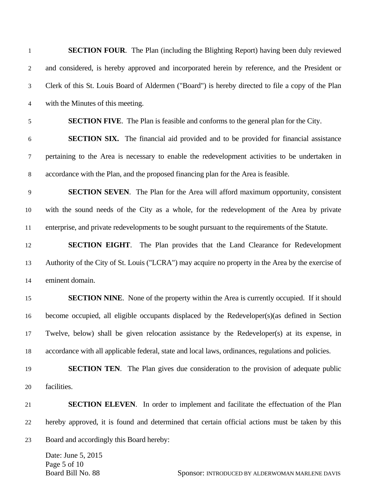| $\mathbf{1}$             | <b>SECTION FOUR.</b> The Plan (including the Blighting Report) having been duly reviewed                   |
|--------------------------|------------------------------------------------------------------------------------------------------------|
| 2                        | and considered, is hereby approved and incorporated herein by reference, and the President or              |
| $\mathfrak{Z}$           | Clerk of this St. Louis Board of Aldermen ("Board") is hereby directed to file a copy of the Plan          |
| $\overline{\mathcal{L}}$ | with the Minutes of this meeting.                                                                          |
| 5                        | <b>SECTION FIVE.</b> The Plan is feasible and conforms to the general plan for the City.                   |
| 6                        | <b>SECTION SIX.</b> The financial aid provided and to be provided for financial assistance                 |
| $\tau$                   | pertaining to the Area is necessary to enable the redevelopment activities to be undertaken in             |
| $\,8\,$                  | accordance with the Plan, and the proposed financing plan for the Area is feasible.                        |
| 9                        | <b>SECTION SEVEN.</b> The Plan for the Area will afford maximum opportunity, consistent                    |
| 10                       | with the sound needs of the City as a whole, for the redevelopment of the Area by private                  |
| 11                       | enterprise, and private redevelopments to be sought pursuant to the requirements of the Statute.           |
| 12                       | <b>SECTION EIGHT.</b> The Plan provides that the Land Clearance for Redevelopment                          |
| 13                       | Authority of the City of St. Louis ("LCRA") may acquire no property in the Area by the exercise of         |
| 14                       | eminent domain.                                                                                            |
| 15                       | <b>SECTION NINE.</b> None of the property within the Area is currently occupied. If it should              |
| 16                       | become occupied, all eligible occupants displaced by the Redeveloper(s) (as defined in Section             |
| 17                       | Twelve, below) shall be given relocation assistance by the Redeveloper(s) at its expense, in               |
| 18                       | accordance with all applicable federal, state and local laws, ordinances, regulations and policies.        |
| 19                       | <b>SECTION TEN.</b> The Plan gives due consideration to the provision of adequate public                   |
| 20                       | facilities.                                                                                                |
| 21                       | <b>SECTION ELEVEN.</b> In order to implement and facilitate the effectuation of the Plan                   |
| 22                       | hereby approved, it is found and determined that certain official actions must be taken by this            |
| 23                       | Board and accordingly this Board hereby:                                                                   |
|                          | Date: June 5, 2015<br>Page 5 of 10<br>Board Bill No. 88<br>Sponsor: INTRODUCED BY ALDERWOMAN MARLENE DAVIS |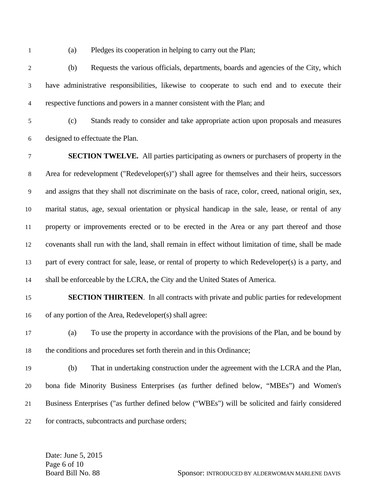1 (a) Pledges its cooperation in helping to carry out the Plan;

2 (b) Requests the various officials, departments, boards and agencies of the City, which 3 have administrative responsibilities, likewise to cooperate to such end and to execute their 4 respective functions and powers in a manner consistent with the Plan; and

5 (c) Stands ready to consider and take appropriate action upon proposals and measures 6 designed to effectuate the Plan.

7 **SECTION TWELVE.** All parties participating as owners or purchasers of property in the 8 Area for redevelopment ("Redeveloper(s)") shall agree for themselves and their heirs, successors 9 and assigns that they shall not discriminate on the basis of race, color, creed, national origin, sex, 10 marital status, age, sexual orientation or physical handicap in the sale, lease, or rental of any 11 property or improvements erected or to be erected in the Area or any part thereof and those 12 covenants shall run with the land, shall remain in effect without limitation of time, shall be made 13 part of every contract for sale, lease, or rental of property to which Redeveloper(s) is a party, and 14 shall be enforceable by the LCRA, the City and the United States of America.

## 15 **SECTION THIRTEEN**. In all contracts with private and public parties for redevelopment 16 of any portion of the Area, Redeveloper(s) shall agree:

- 17 (a) To use the property in accordance with the provisions of the Plan, and be bound by 18 the conditions and procedures set forth therein and in this Ordinance;
- 19 (b) That in undertaking construction under the agreement with the LCRA and the Plan, 20 bona fide Minority Business Enterprises (as further defined below, "MBEs") and Women's 21 Business Enterprises ("as further defined below ("WBEs") will be solicited and fairly considered 22 for contracts, subcontracts and purchase orders;

Date: June 5, 2015 Page 6 of 10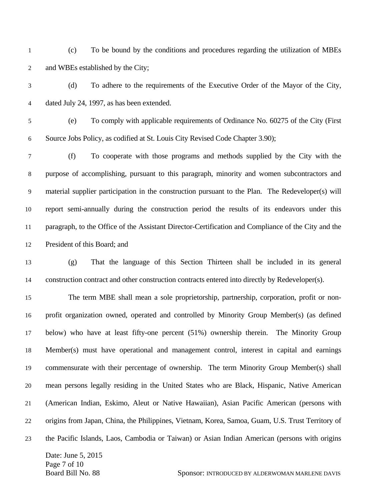- 1 (c) To be bound by the conditions and procedures regarding the utilization of MBEs 2 and WBEs established by the City;
- 3 (d) To adhere to the requirements of the Executive Order of the Mayor of the City, 4 dated July 24, 1997, as has been extended.
- 5 (e) To comply with applicable requirements of Ordinance No. 60275 of the City (First 6 Source Jobs Policy, as codified at St. Louis City Revised Code Chapter 3.90);

7 (f) To cooperate with those programs and methods supplied by the City with the 8 purpose of accomplishing, pursuant to this paragraph, minority and women subcontractors and 9 material supplier participation in the construction pursuant to the Plan. The Redeveloper(s) will 10 report semi-annually during the construction period the results of its endeavors under this 11 paragraph, to the Office of the Assistant Director-Certification and Compliance of the City and the 12 President of this Board; and

13 (g) That the language of this Section Thirteen shall be included in its general 14 construction contract and other construction contracts entered into directly by Redeveloper(s).

Date: June 5, 2015 15 The term MBE shall mean a sole proprietorship, partnership, corporation, profit or non-16 profit organization owned, operated and controlled by Minority Group Member(s) (as defined 17 below) who have at least fifty-one percent (51%) ownership therein. The Minority Group 18 Member(s) must have operational and management control, interest in capital and earnings 19 commensurate with their percentage of ownership. The term Minority Group Member(s) shall 20 mean persons legally residing in the United States who are Black, Hispanic, Native American 21 (American Indian, Eskimo, Aleut or Native Hawaiian), Asian Pacific American (persons with 22 origins from Japan, China, the Philippines, Vietnam, Korea, Samoa, Guam, U.S. Trust Territory of 23 the Pacific Islands, Laos, Cambodia or Taiwan) or Asian Indian American (persons with origins

Page 7 of 10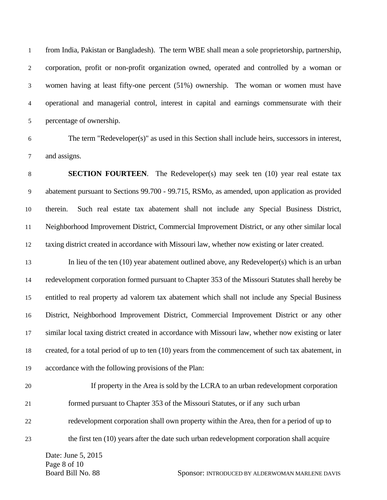1 from India, Pakistan or Bangladesh). The term WBE shall mean a sole proprietorship, partnership, 2 corporation, profit or non-profit organization owned, operated and controlled by a woman or 3 women having at least fifty-one percent (51%) ownership. The woman or women must have 4 operational and managerial control, interest in capital and earnings commensurate with their 5 percentage of ownership.

6 The term "Redeveloper(s)" as used in this Section shall include heirs, successors in interest, 7 and assigns.

8 **SECTION FOURTEEN**. The Redeveloper(s) may seek ten (10) year real estate tax 9 abatement pursuant to Sections 99.700 - 99.715, RSMo, as amended, upon application as provided 10 therein. Such real estate tax abatement shall not include any Special Business District, 11 Neighborhood Improvement District, Commercial Improvement District, or any other similar local 12 taxing district created in accordance with Missouri law, whether now existing or later created.

13 In lieu of the ten (10) year abatement outlined above, any Redeveloper(s) which is an urban 14 redevelopment corporation formed pursuant to Chapter 353 of the Missouri Statutes shall hereby be 15 entitled to real property ad valorem tax abatement which shall not include any Special Business 16 District, Neighborhood Improvement District, Commercial Improvement District or any other 17 similar local taxing district created in accordance with Missouri law, whether now existing or later 18 created, for a total period of up to ten (10) years from the commencement of such tax abatement, in 19 accordance with the following provisions of the Plan:

20 If property in the Area is sold by the LCRA to an urban redevelopment corporation 21 formed pursuant to Chapter 353 of the Missouri Statutes, or if any such urban 22 redevelopment corporation shall own property within the Area, then for a period of up to 23 the first ten (10) years after the date such urban redevelopment corporation shall acquire

Date: June 5, 2015 Page 8 of 10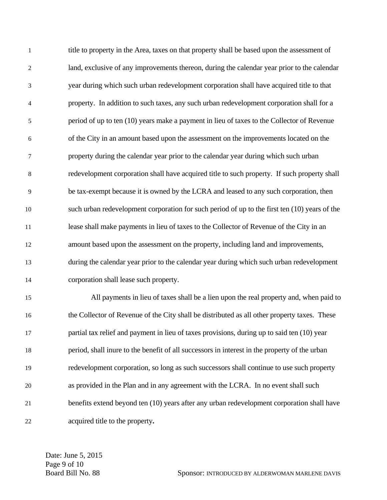1 title to property in the Area, taxes on that property shall be based upon the assessment of 2 land, exclusive of any improvements thereon, during the calendar year prior to the calendar 3 year during which such urban redevelopment corporation shall have acquired title to that 4 property. In addition to such taxes, any such urban redevelopment corporation shall for a 5 period of up to ten (10) years make a payment in lieu of taxes to the Collector of Revenue 6 of the City in an amount based upon the assessment on the improvements located on the 7 property during the calendar year prior to the calendar year during which such urban 8 redevelopment corporation shall have acquired title to such property. If such property shall 9 be tax-exempt because it is owned by the LCRA and leased to any such corporation, then 10 such urban redevelopment corporation for such period of up to the first ten (10) years of the 11 lease shall make payments in lieu of taxes to the Collector of Revenue of the City in an 12 amount based upon the assessment on the property, including land and improvements, 13 during the calendar year prior to the calendar year during which such urban redevelopment 14 corporation shall lease such property.

15 All payments in lieu of taxes shall be a lien upon the real property and, when paid to 16 the Collector of Revenue of the City shall be distributed as all other property taxes. These 17 partial tax relief and payment in lieu of taxes provisions, during up to said ten (10) year 18 period, shall inure to the benefit of all successors in interest in the property of the urban 19 redevelopment corporation, so long as such successors shall continue to use such property 20 as provided in the Plan and in any agreement with the LCRA. In no event shall such 21 benefits extend beyond ten (10) years after any urban redevelopment corporation shall have 22 acquired title to the property**.** 

Date: June 5, 2015 Page 9 of 10